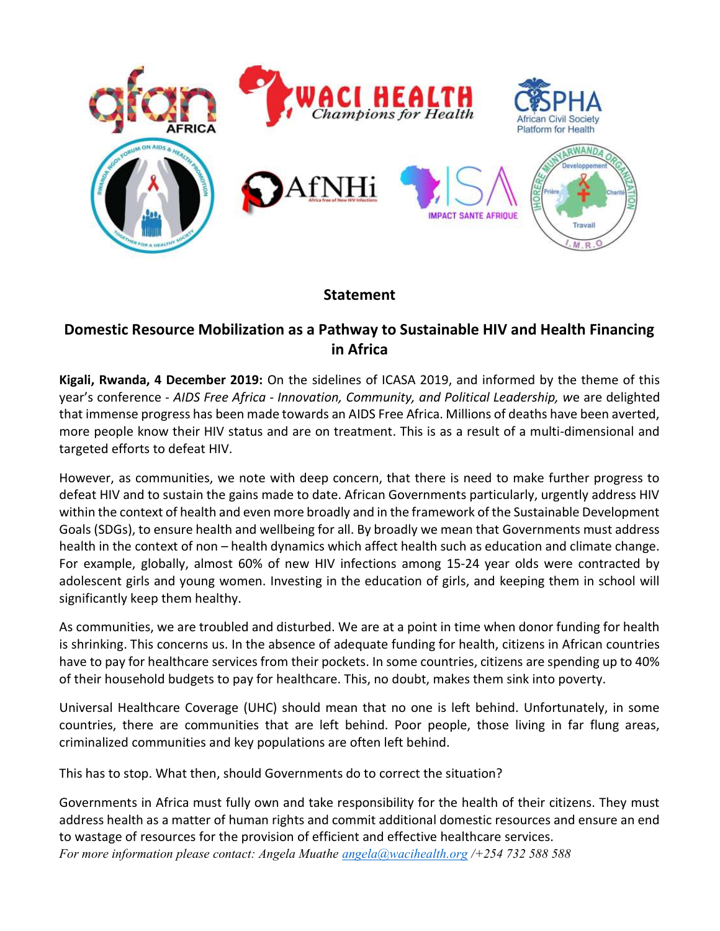

## **Statement**

## Domestic Resource Mobilization as a Pathway to Sustainable HIV and Health Financing in Africa

Kigali, Rwanda, 4 December 2019: On the sidelines of ICASA 2019, and informed by the theme of this year's conference - AIDS Free Africa - Innovation, Community, and Political Leadership, we are delighted that immense progress has been made towards an AIDS Free Africa. Millions of deaths have been averted, more people know their HIV status and are on treatment. This is as a result of a multi-dimensional and targeted efforts to defeat HIV.

However, as communities, we note with deep concern, that there is need to make further progress to defeat HIV and to sustain the gains made to date. African Governments particularly, urgently address HIV within the context of health and even more broadly and in the framework of the Sustainable Development Goals (SDGs), to ensure health and wellbeing for all. By broadly we mean that Governments must address health in the context of non – health dynamics which affect health such as education and climate change. For example, globally, almost 60% of new HIV infections among 15-24 year olds were contracted by adolescent girls and young women. Investing in the education of girls, and keeping them in school will significantly keep them healthy.

As communities, we are troubled and disturbed. We are at a point in time when donor funding for health is shrinking. This concerns us. In the absence of adequate funding for health, citizens in African countries have to pay for healthcare services from their pockets. In some countries, citizens are spending up to 40% of their household budgets to pay for healthcare. This, no doubt, makes them sink into poverty.

Universal Healthcare Coverage (UHC) should mean that no one is left behind. Unfortunately, in some countries, there are communities that are left behind. Poor people, those living in far flung areas, criminalized communities and key populations are often left behind.

This has to stop. What then, should Governments do to correct the situation?

For more information please contact: Angela Muathe  $angle@wave$ ihealth.org /+254 732 588 588 Governments in Africa must fully own and take responsibility for the health of their citizens. They must address health as a matter of human rights and commit additional domestic resources and ensure an end to wastage of resources for the provision of efficient and effective healthcare services.